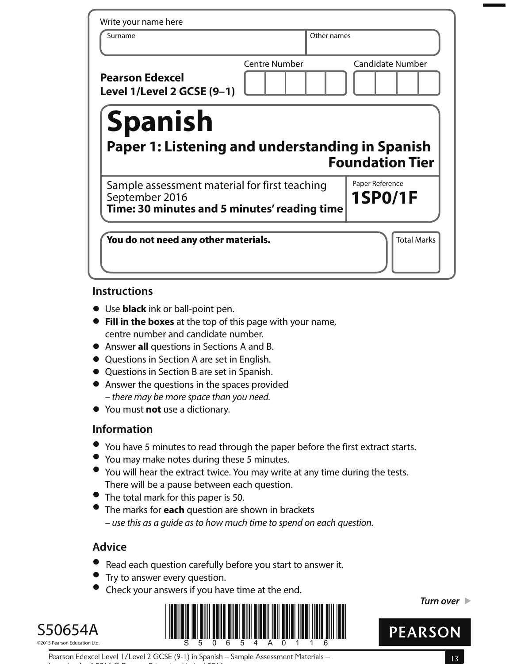| Write your name here                                              |                      |                         |
|-------------------------------------------------------------------|----------------------|-------------------------|
| Surname                                                           | Other names          |                         |
| <b>Pearson Edexcel</b><br>Level 1/Level 2 GCSE (9-1)              | <b>Centre Number</b> | <b>Candidate Number</b> |
| <b>Spanish</b><br>Paper 1: Listening and understanding in Spanish |                      | <b>Foundation Tier</b>  |
| Sample assessment material for first teaching                     |                      | Paper Reference         |
| September 2016<br>Time: 30 minutes and 5 minutes' reading time    |                      | <b>1SP0/1F</b>          |

#### **Instructions**

- **•** Use **black** ink or ball-point pen.
- **• Fill in the boxes** at the top of this page with your name, centre number and candidate number.
- **•** Answer **all** questions in Sections A and B.
- **•** Questions in Section A are set in English.
- **•** Questions in Section B are set in Spanish.
- **•** Answer the questions in the spaces provided – there may be more space than you need.
- **•** You must **not** use a dictionary.

## **Information**

- **•** You have 5 minutes to read through the paper before the first extract starts.
- **•** You may make notes during these 5 minutes.
- **•** You will hear the extract twice. You may write at any time during the tests. There will be a pause between each question.
- **•** The total mark for this paper is 50.
- **•** The marks for **each** question are shown in brackets – use this as a guide as to how much time to spend on each question.

# **Advice**

- **Advice**<br>● Read each question carefully before you start to answer it. • Read each question carefully<br>• Try to answer every question.
- 

Issue 1 – April 2016 © Pearson Education Limited 2016

**Try to answer every question.**<br>**•** Check your answers if you have time at the end.







Pearson Edexcel Level 1/Level 2 GCSE (9-1) in Spanish – Sample Assessment Materials –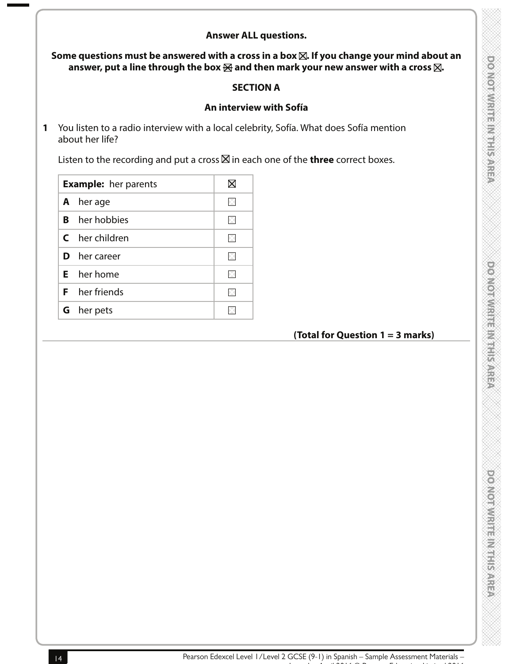## **Answer ALL questions.**

Some questions must be answered with a cross in a box  $\boxtimes$ . If you change your mind about an answer, put a line through the box  $\boxtimes$  and then mark your new answer with a cross  $\boxtimes$ .

#### **SECTION A**

#### **An interview with Sofía**

**1** You listen to a radio interview with a local celebrity, Sofía. What does Sofía mention about her life?

Listen to the recording and put a cross  $\boxtimes$  in each one of the **three** correct boxes.

|    | <b>Example:</b> her parents |  |  |
|----|-----------------------------|--|--|
|    | <b>A</b> herage             |  |  |
|    | <b>B</b> her hobbies        |  |  |
|    | <b>C</b> her children       |  |  |
| D. | her career                  |  |  |
|    | $E$ her home                |  |  |
|    | <b>F</b> her friends        |  |  |
|    | <b>G</b> her pets           |  |  |
|    |                             |  |  |

## **(Total for Question 1 = 3 marks)**

**DOMONWERT LEADERS**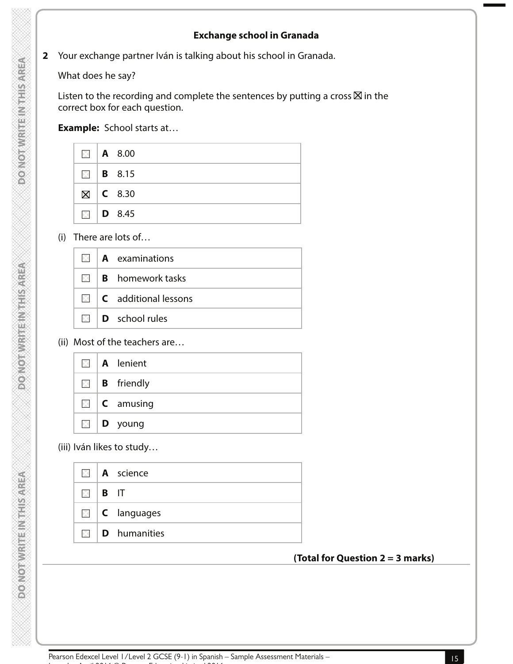### **Exchange school in Granada**

**2** Your exchange partner Iván is talking about his school in Granada.

What does he say?

Listen to the recording and complete the sentences by putting a cross  $\boxtimes$  in the correct box for each question.

**Example:** School starts at…

|  | $\blacksquare$   A 8.00 |
|--|-------------------------|
|  | $\blacksquare$   B 8.15 |
|  | $\boxtimes$   C 8.30    |
|  | $\Box$ D 8.45           |

(i) There are lots of…

|  | $\mathbb{N}$   <b>A</b> examinations       |
|--|--------------------------------------------|
|  | $\mathbb{N}$ <b>B</b> homework tasks       |
|  | $\mathbb{Z}$   <b>C</b> additional lessons |
|  | $\Box$ <b>D</b> school rules               |

#### (ii) Most of the teachers are…

|  | $\Box$   <b>A</b> lenient |
|--|---------------------------|
|  | $\Box$ <b>B</b> friendly  |
|  | $\Box$ <b>C</b> amusing   |
|  | $\Box$   <b>D</b> young   |

(iii) Iván likes to study…

|                                | $\boxtimes$   A science            |
|--------------------------------|------------------------------------|
| $\boxtimes$ $\boxtimes$ $\Box$ |                                    |
|                                | $\Box$   <b>C</b> languages        |
|                                | $\mathbb{R}$   <b>D</b> humanities |

## **(Total for Question 2 = 3 marks)**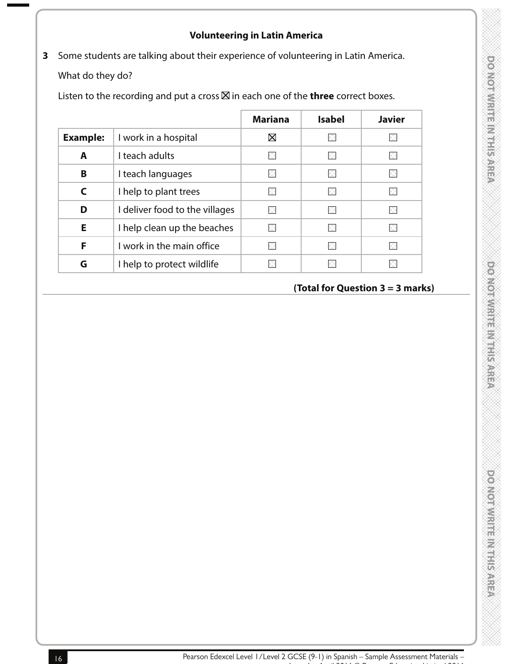## **Volunteering in Latin America**

**3** Some students are talking about their experience of volunteering in Latin America.

What do they do?

Listen to the recording and put a cross  $\boxtimes$  in each one of the **three** correct boxes.

|                 |                                | <b>Mariana</b> | <b>Isabel</b> | <b>Javier</b> |
|-----------------|--------------------------------|----------------|---------------|---------------|
| <b>Example:</b> | I work in a hospital           | $\boxtimes$    |               |               |
| A               | I teach adults                 | $\times$       | ÞК            |               |
| B               | I teach languages              | $\times$       |               |               |
| C               | I help to plant trees          | $\times$       |               |               |
| D               | I deliver food to the villages | $\times$       | ×             |               |
| Е               | I help clean up the beaches    | $\times$       | ÞК            |               |
| F               | I work in the main office      | $\times$       |               |               |
| G               | I help to protect wildlife     | X              |               |               |

# **(Total for Question 3 = 3 marks)**

powonwith this may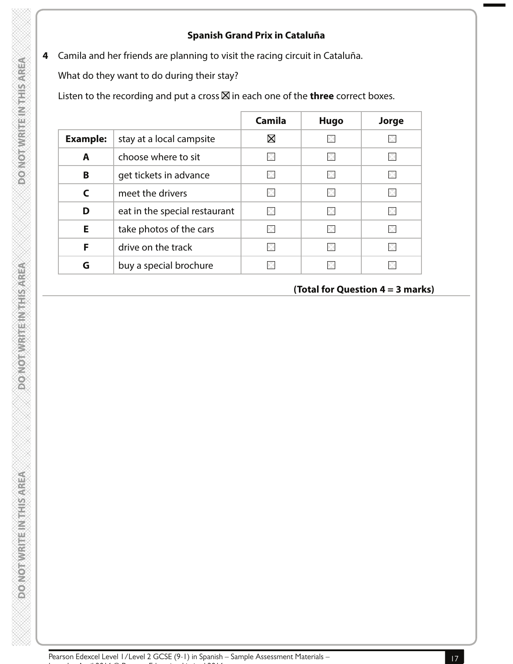#### **Spanish Grand Prix in Cataluña**

**4** Camila and her friends are planning to visit the racing circuit in Cataluña.

What do they want to do during their stay?

Listen to the recording and put a cross  $\boxtimes$  in each one of the **three** correct boxes.

|                 |                               | <b>Camila</b> | <b>Hugo</b> | Jorge |
|-----------------|-------------------------------|---------------|-------------|-------|
| <b>Example:</b> | stay at a local campsite      | $\boxtimes$   |             |       |
| A               | choose where to sit           |               | ×           |       |
| B               | get tickets in advance        |               |             |       |
| C               | meet the drivers              |               | ×           |       |
| D               | eat in the special restaurant |               |             |       |
| E               | take photos of the cars       |               |             |       |
| F               | drive on the track            |               |             |       |
| G               | buy a special brochure        |               |             |       |

# **(Total for Question 4 = 3 marks)**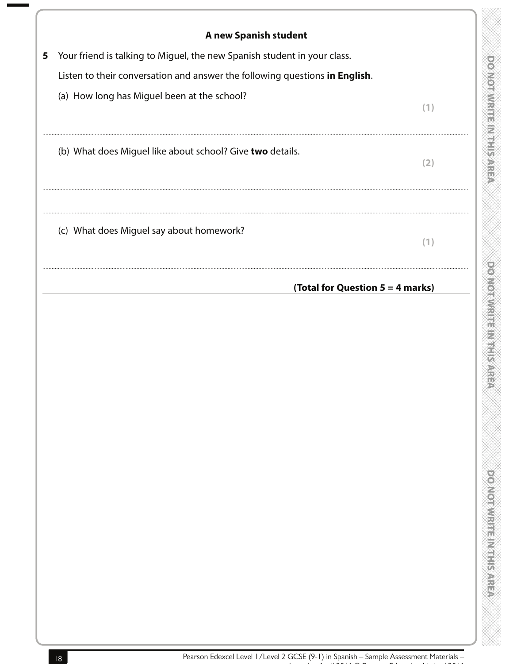| Your friend is talking to Miguel, the new Spanish student in your class.                                                   |     |
|----------------------------------------------------------------------------------------------------------------------------|-----|
| Listen to their conversation and answer the following questions in English.<br>(a) How long has Miguel been at the school? |     |
|                                                                                                                            |     |
|                                                                                                                            | (1) |
| (b) What does Miguel like about school? Give two details.                                                                  | (2) |
| (c) What does Miguel say about homework?                                                                                   | (1) |
| (Total for Question 5 = 4 marks)                                                                                           |     |

**DONOTWRITEM THIS AREA**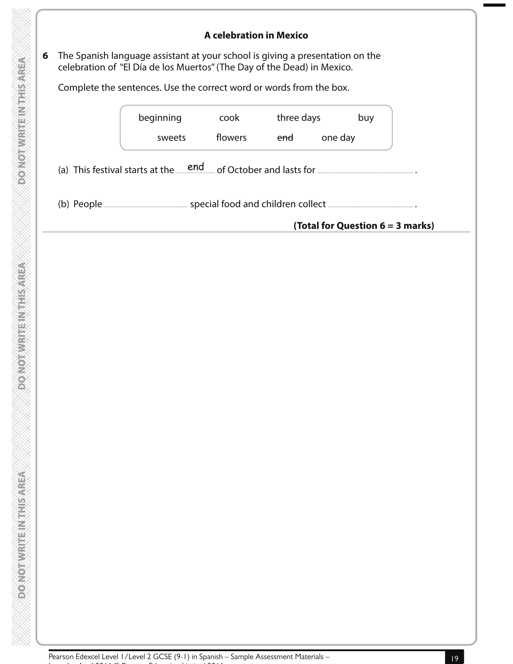#### **A celebration in Mexico**

**6** The Spanish language assistant at your school is giving a presentation on the celebration of "El Día de los Muertos" (The Day of the Dead) in Mexico.

Complete the sentences. Use the correct word or words from the box.

|            | beginning                                                           | cook    | three days |         | buy                              |
|------------|---------------------------------------------------------------------|---------|------------|---------|----------------------------------|
|            | sweets                                                              | flowers | end        | one day |                                  |
|            | (a) This festival starts at the <u>end</u> of October and lasts for |         |            |         |                                  |
| (b) People |                                                                     |         |            |         |                                  |
|            |                                                                     |         |            |         | (Total for Question 6 = 3 marks) |

Issue 1 – April 2016 © Pearson Education Limited 2016

**DONOTWRITEINTHIS AREA**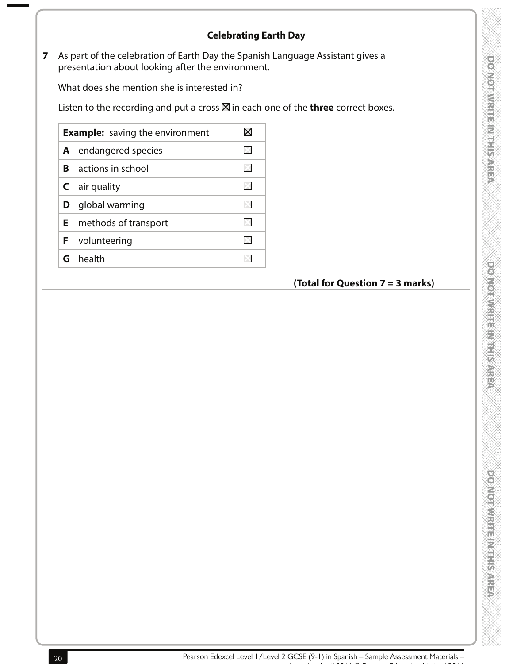## **Celebrating Earth Day**

**7** As part of the celebration of Earth Day the Spanish Language Assistant gives a presentation about looking after the environment.

What does she mention she is interested in?

Listen to the recording and put a cross  $\boxtimes$  in each one of the **three** correct boxes.

| <b>Example:</b> saving the environment |                               |  |
|----------------------------------------|-------------------------------|--|
| A                                      | endangered species            |  |
| R                                      | actions in school             |  |
| C                                      | air quality                   |  |
| D                                      | global warming                |  |
|                                        | <b>E</b> methods of transport |  |
| F.                                     | volunteering                  |  |
|                                        | G health                      |  |

# **(Total for Question 7 = 3 marks)**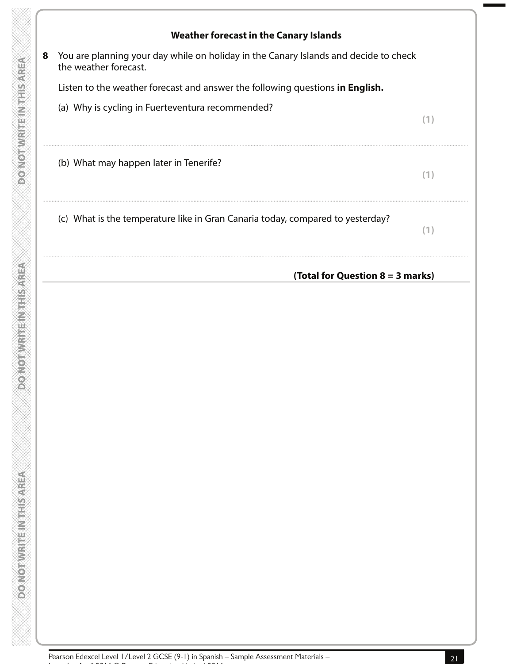

**DOMORWHIEINTHISMREA**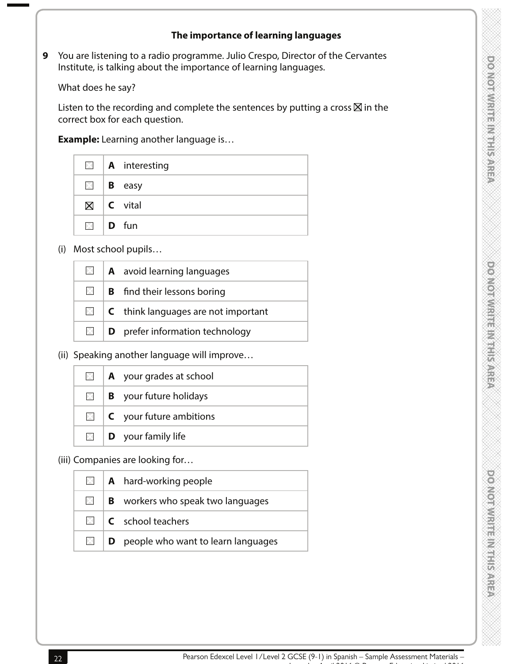#### **The importance of learning languages**

**9** You are listening to a radio programme. Julio Crespo, Director of the Cervantes Institute, is talking about the importance of learning languages.

What does he say?

Listen to the recording and complete the sentences by putting a cross  $\boxtimes$  in the correct box for each question.

 **Example:** Learning another language is…

|              | $\blacksquare$   <b>A</b> interesting |
|--------------|---------------------------------------|
|              | $\Box$   <b>B</b> easy                |
|              | $\boxtimes$   C vital                 |
| $\Box$ D fun |                                       |

(i) Most school pupils…

|            | $\Box$ <b>A</b> avoid learning languages          |
|------------|---------------------------------------------------|
| $\times$ 1 | <b>B</b> find their lessons boring                |
|            | $\Box$ <b>C</b> think languages are not important |
| $\times$   | <b>D</b> prefer information technology            |

(ii) Speaking another language will improve…

| $\times$   | <b>A</b> your grades at school                |  |  |
|------------|-----------------------------------------------|--|--|
| $\times$ 1 | <b>B</b> your future holidays                 |  |  |
|            | $\blacksquare$ <b>C</b> your future ambitions |  |  |
|            | $\Box$ <b>D</b> your family life              |  |  |

(iii) Companies are looking for…

|  | $\Box$ <b>A</b> hard-working people                |  |
|--|----------------------------------------------------|--|
|  | $\Box$ <b>B</b> workers who speak two languages    |  |
|  | $\Box$ <b>C</b> school teachers                    |  |
|  | $\Box$ <b>D</b> people who want to learn languages |  |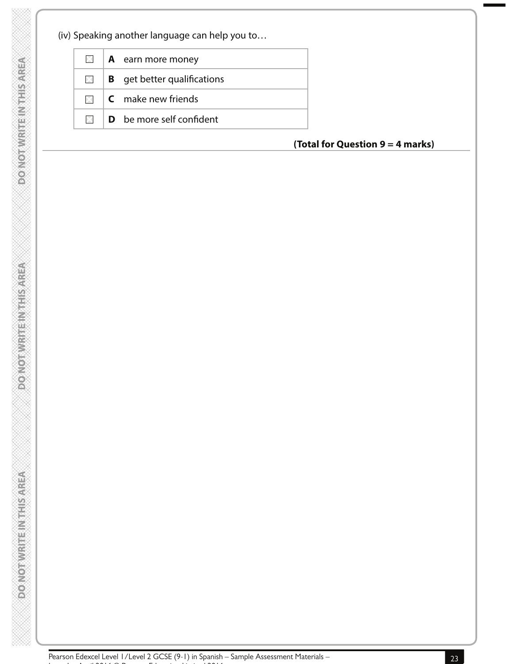(iv) Speaking another language can help you to…

**DOONOTWRITENTHIS AREA** 

**PONOTWRITEINTHSAREA** 

**DO NOTWRITEIN THIS AREA** 

| $\boxtimes$  | <b>A</b> earn more money                                      |  |  |
|--------------|---------------------------------------------------------------|--|--|
| $\mathbb{R}$ | <b>B</b> get better qualifications                            |  |  |
|              | $\blacksquare$ $\blacksquare$ $\blacksquare$ make new friends |  |  |
| $\mathbb{R}$ | <b>D</b> be more self confident                               |  |  |

## **(Total for Question 9 = 4 marks)**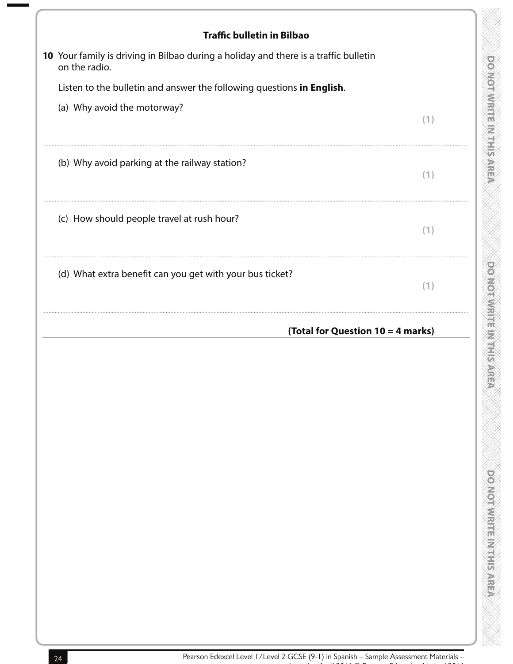| <b>Traffic bulletin in Bilbao</b>                                                                     |     |
|-------------------------------------------------------------------------------------------------------|-----|
| 10 Your family is driving in Bilbao during a holiday and there is a traffic bulletin<br>on the radio. |     |
| Listen to the bulletin and answer the following questions in English.                                 |     |
| (a) Why avoid the motorway?                                                                           | (1) |
| (b) Why avoid parking at the railway station?                                                         | (1) |
| (c) How should people travel at rush hour?                                                            | (1) |
| (d) What extra benefit can you get with your bus ticket?                                              | (1) |
|                                                                                                       |     |
| (Total for Question 10 = 4 marks)                                                                     |     |
|                                                                                                       |     |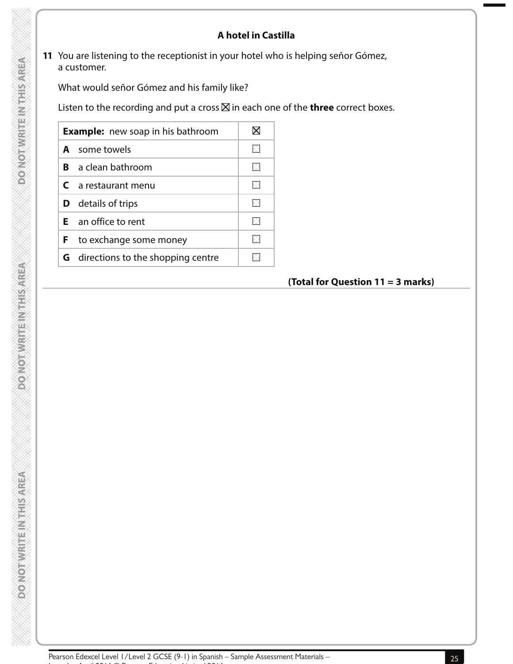## **A hotel in Castilla**

**11** You are listening to the receptionist in your hotel who is helping señor Gómez, a customer.

What would señor Gómez and his family like?

Listen to the recording and put a cross  $\boxtimes$  in each one of the **three** correct boxes.

|    | <b>Example:</b> new soap in his bathroom   |  |
|----|--------------------------------------------|--|
|    | <b>A</b> some towels                       |  |
| R. | a clean bathroom                           |  |
|    | $C$ a restaurant menu                      |  |
|    | <b>D</b> details of trips                  |  |
|    | $E$ an office to rent                      |  |
|    | <b>F</b> to exchange some money            |  |
|    | <b>G</b> directions to the shopping centre |  |

## **(Total for Question 11 = 3 marks)**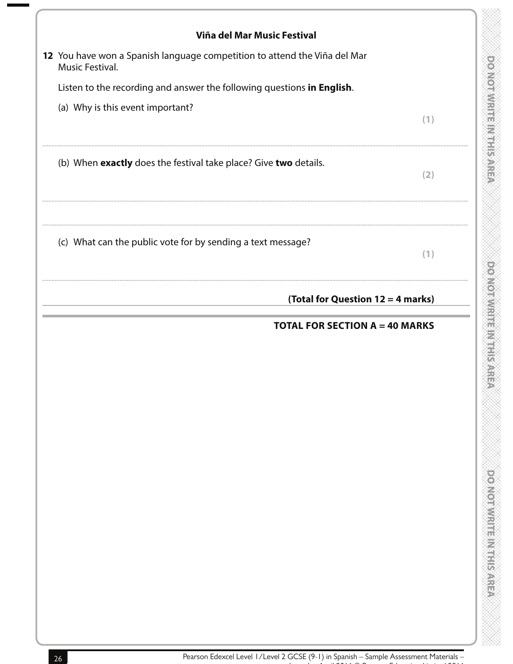| Viña del Mar Music Festival                                                                  |     |
|----------------------------------------------------------------------------------------------|-----|
| 12 You have won a Spanish language competition to attend the Viña del Mar<br>Music Festival. |     |
| Listen to the recording and answer the following questions in English.                       |     |
| (a) Why is this event important?                                                             | (1) |
| (b) When exactly does the festival take place? Give two details.                             | (2) |
| (c) What can the public vote for by sending a text message?                                  | (1) |
| (Total for Question 12 = 4 marks)                                                            |     |
| <b>TOTAL FOR SECTION A = 40 MARKS</b>                                                        |     |
|                                                                                              |     |
|                                                                                              |     |
|                                                                                              |     |
|                                                                                              |     |
|                                                                                              |     |
|                                                                                              |     |
|                                                                                              |     |
|                                                                                              |     |
|                                                                                              |     |

۳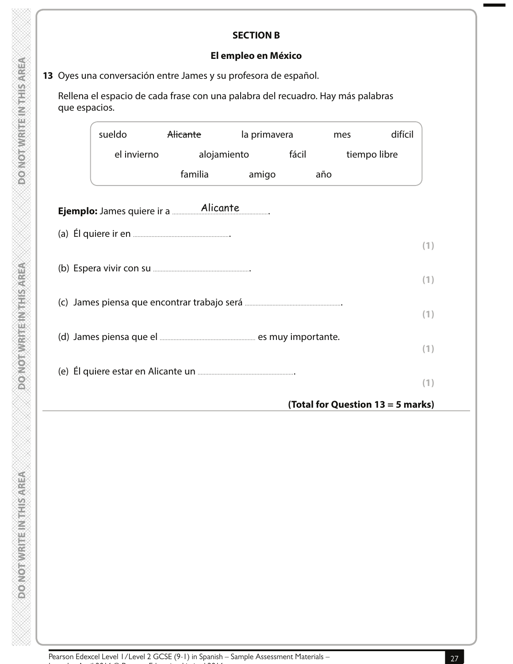## **El empleo en México**

# **13** Oyes una conversación entre James y su profesora de español.

 Rellena el espacio de cada frase con una palabra del recuadro. Hay más palabras que espacios.

| sueldo      | <del>Alicante</del>                        | la primavera |       | mes | difícil                           |
|-------------|--------------------------------------------|--------------|-------|-----|-----------------------------------|
| el invierno | alojamiento                                |              | fácil |     | tiempo libre                      |
|             | familia                                    | amigo        | año   |     |                                   |
|             | Ejemplo: James quiere ir a <b>Alicante</b> |              |       |     |                                   |
|             |                                            |              |       |     |                                   |
|             |                                            |              |       |     |                                   |
|             |                                            |              |       |     |                                   |
|             |                                            |              |       |     |                                   |
|             |                                            |              |       |     |                                   |
|             |                                            |              |       |     |                                   |
|             |                                            |              |       |     |                                   |
|             |                                            |              |       |     | (Total for Question 13 = 5 marks) |

**DOMOTWRITEINIEISAREA**